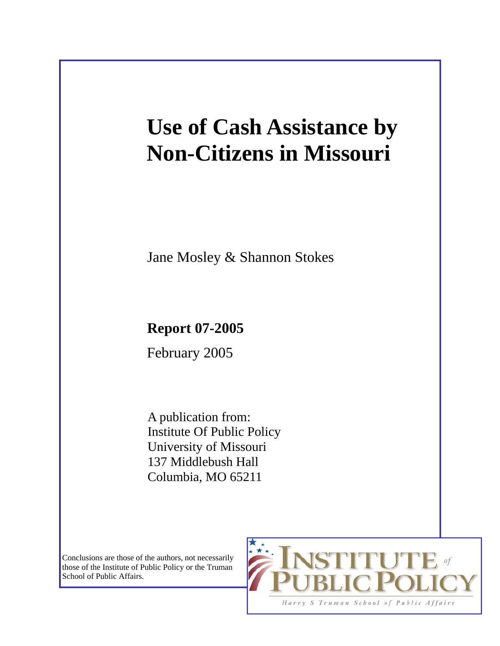# **Use of Cash Assistance by Non-Citizens in Missouri**

Jane Mosley & Shannon Stokes

# **Report 07-2005**

February 2005

A publication from: Institute Of Public Policy University of Missouri 137 Middlebush Hall Columbia, MO 65211

Conclusions are those of the authors, not necessarily those of the Institute of Public Policy or the Truman School of Public Affairs.

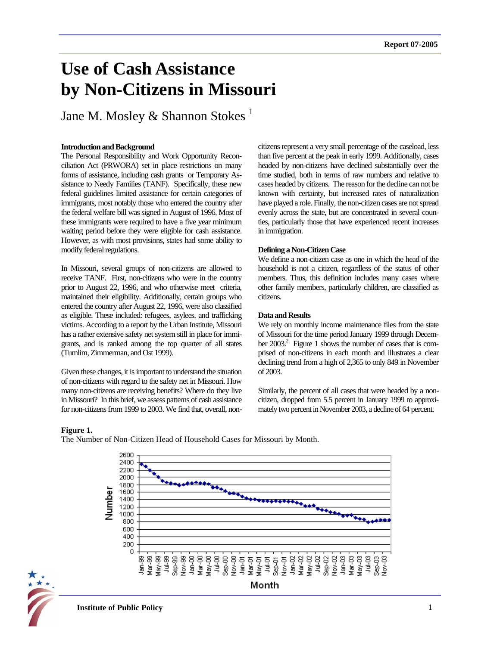# **Use of Cash Assistance by Non-Citizens in Missouri**

Jane M. Mosley & Shannon Stokes<sup>1</sup>

#### **Introduction and Background**

The Personal Responsibility and Work Opportunity Reconciliation Act (PRWORA) set in place restrictions on many forms of assistance, including cash grants or Temporary Assistance to Needy Families (TANF). Specifically, these new federal guidelines limited assistance for certain categories of immigrants, most notably those who entered the country after the federal welfare bill was signed in August of 1996. Most of these immigrants were required to have a five year minimum waiting period before they were eligible for cash assistance. However, as with most provisions, states had some ability to modify federal regulations.

In Missouri, several groups of non-citizens are allowed to receive TANF. First, non-citizens who were in the country prior to August 22, 1996, and who otherwise meet criteria, maintained their eligibility. Additionally, certain groups who entered the country after August 22, 1996, were also classified as eligible. These included: refugees, asylees, and trafficking victims. According to a report by the Urban Institute, Missouri has a rather extensive safety net system still in place for immigrants, and is ranked among the top quarter of all states (Tumlim, Zimmerman, and Ost 1999).

Given these changes, it is important to understand the situation of non-citizens with regard to the safety net in Missouri. How many non-citizens are receiving benefits? Where do they live in Missouri? In this brief, we assess patterns of cash assistance for non-citizens from 1999 to 2003. We find that, overall, noncitizens represent a very small percentage of the caseload, less than five percent at the peak in early 1999. Additionally, cases headed by non-citizens have declined substantially over the time studied, both in terms of raw numbers and relative to cases headed by citizens. The reason for the decline can not be known with certainty, but increased rates of naturalization have played a role. Finally, the non-citizen cases are not spread evenly across the state, but are concentrated in several counties, particularly those that have experienced recent increases in immigration.

#### **Defining a Non-Citizen Case**

We define a non-citizen case as one in which the head of the household is not a citizen, regardless of the status of other members. Thus, this definition includes many cases where other family members, particularly children, are classified as citizens.

### **Data and Results**

We rely on monthly income maintenance files from the state of Missouri for the time period January 1999 through December 2003.<sup>2</sup> Figure 1 shows the number of cases that is comprised of non-citizens in each month and illustrates a clear declining trend from a high of 2,365 to only 849 in November of 2003.

Similarly, the percent of all cases that were headed by a noncitizen, dropped from 5.5 percent in January 1999 to approximately two percent in November 2003, a decline of 64 percent.

#### **Figure 1.**



The Number of Non-Citizen Head of Household Cases for Missouri by Month.

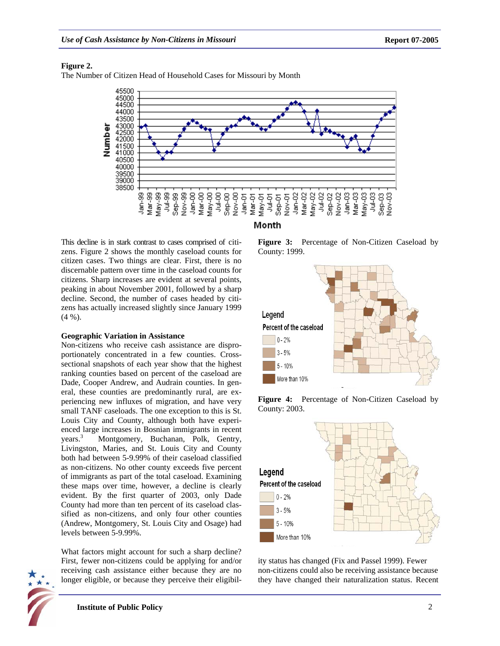# **Figure 2.**

The Number of Citizen Head of Household Cases for Missouri by Month



Month

This decline is in stark contrast to cases comprised of citizens. Figure 2 shows the monthly caseload counts for citizen cases. Two things are clear. First, there is no discernable pattern over time in the caseload counts for citizens. Sharp increases are evident at several points, peaking in about November 2001, followed by a sharp decline. Second, the number of cases headed by citizens has actually increased slightly since January 1999 (4 %).

# **Geographic Variation in Assistance**

Non-citizens who receive cash assistance are disproportionately concentrated in a few counties. Crosssectional snapshots of each year show that the highest ranking counties based on percent of the caseload are Dade, Cooper Andrew, and Audrain counties. In general, these counties are predominantly rural, are experiencing new influxes of migration, and have very small TANF caseloads. The one exception to this is St. Louis City and County, although both have experienced large increases in Bosnian immigrants in recent years.<sup>3</sup> Montgomery, Buchanan, Polk, Gentry, Livingston, Maries, and St. Louis City and County both had between 5-9.99% of their caseload classified as non-citizens. No other county exceeds five percent of immigrants as part of the total caseload. Examining these maps over time, however, a decline is clearly evident. By the first quarter of 2003, only Dade County had more than ten percent of its caseload classified as non-citizens, and only four other counties (Andrew, Montgomery, St. Louis City and Osage) had levels between 5-9.99%.

What factors might account for such a sharp decline? First, fewer non-citizens could be applying for and/or receiving cash assistance either because they are no longer eligible, or because they perceive their eligibil-



**Figure 3:** Percentage of Non-Citizen Caseload by County: 1999.



**Figure 4:** Percentage of Non-Citizen Caseload by County: 2003.



ity status has changed (Fix and Passel 1999). Fewer non-citizens could also be receiving assistance because they have changed their naturalization status. Recent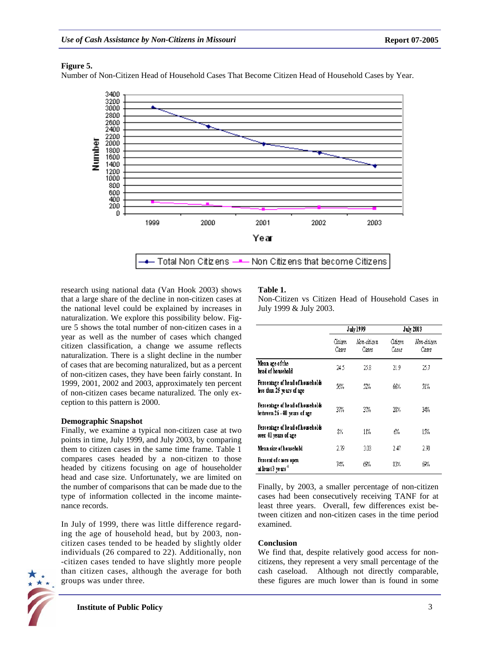# **Figure 5.**

Number of Non-Citizen Head of Household Cases That Become Citizen Head of Household Cases by Year.



research using national data (Van Hook 2003) shows that a large share of the decline in non-citizen cases at the national level could be explained by increases in naturalization. We explore this possibility below. Figure 5 shows the total number of non-citizen cases in a year as well as the number of cases which changed citizen classification, a change we assume reflects naturalization. There is a slight decline in the number of cases that are becoming naturalized, but as a percent of non-citizen cases, they have been fairly constant. In 1999, 2001, 2002 and 2003, approximately ten percent of non-citizen cases became naturalized. The only exception to this pattern is 2000.

# **Demographic Snapshot**

Finally, we examine a typical non-citizen case at two points in time, July 1999, and July 2003, by comparing them to citizen cases in the same time frame. Table 1 compares cases headed by a non-citizen to those headed by citizens focusing on age of householder head and case size. Unfortunately, we are limited on the number of comparisons that can be made due to the type of information collected in the income maintenance records.

In July of 1999, there was little difference regarding the age of household head, but by 2003, noncitizen cases tended to be headed by slightly older individuals (26 compared to 22). Additionally, non -citizen cases tended to have slightly more people than citizen cases, although the average for both groups was under three.



# **Table 1.**

Non-Citizen vs Citizen Head of Household Cases in July 1999 & July 2003.

|                                                                 | July 1999        |                      | <b>July 2003</b> |                      |
|-----------------------------------------------------------------|------------------|----------------------|------------------|----------------------|
|                                                                 | Citizen<br>Cases | Non-citizen<br>Cases | Citizen<br>Cases | Non-citizen<br>Cases |
| Mean age of the<br>head of household                            | 24.S             | 25.8                 | 21.9             | 25.7                 |
| Percentage of head of howeholds<br>less than 25 years of age    | 56%              | 52%                  | 66%              | 51%                  |
| Percentage of head of howeholds<br>between 26 - 40 years of age | 37%              | 37%                  | 28%              | 34%                  |
| Percentage of head of howeholds<br>over 41 years of age         | 8%               | 11%                  | 6%               | 15%                  |
| Mean size of household                                          | 2.79             | 3.03                 | 2.47             | 290                  |
| Percent of cases open<br>at least 3 years $^4$                  | 74%              | 69%                  | 83%              | 69%                  |

Finally, by 2003, a smaller percentage of non-citizen cases had been consecutively receiving TANF for at least three years. Overall, few differences exist between citizen and non-citizen cases in the time period examined.

# **Conclusion**

We find that, despite relatively good access for noncitizens, they represent a very small percentage of the cash caseload. Although not directly comparable, these figures are much lower than is found in some